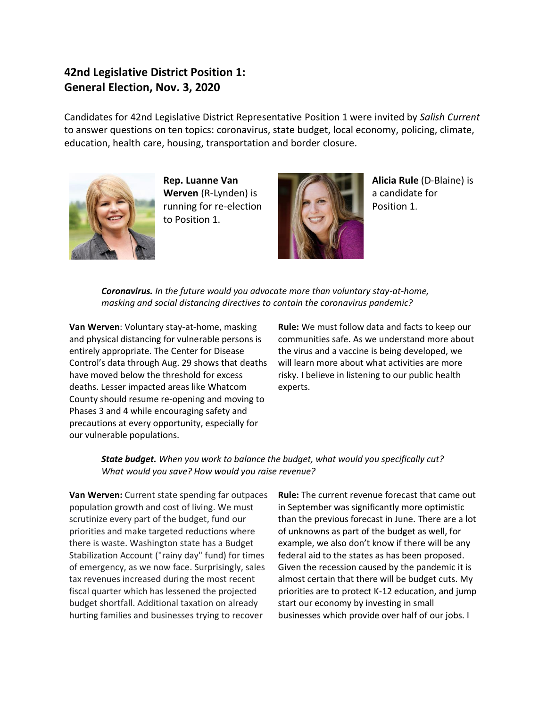# **42nd Legislative District Position 1: General Election, Nov. 3, 2020**

Candidates for 42nd Legislative District Representative Position 1 were invited by *Salish Current* to answer questions on ten topics: coronavirus, state budget, local economy, policing, climate, education, health care, housing, transportation and border closure.



**Rep. Luanne Van Werven** (R-Lynden) is running for re-election to Position 1.



**Alicia Rule** (D-Blaine) is a candidate for Position 1.

*Coronavirus. In the future would you advocate more than voluntary stay-at-home, masking and social distancing directives to contain the coronavirus pandemic?*

**Van Werven**: Voluntary stay-at-home, masking and physical distancing for vulnerable persons is entirely appropriate. The Center for Disease Control's data through Aug. 29 shows that deaths have moved below the threshold for excess deaths. Lesser impacted areas like Whatcom County should resume re-opening and moving to Phases 3 and 4 while encouraging safety and precautions at every opportunity, especially for our vulnerable populations.

**Rule:** We must follow data and facts to keep our communities safe. As we understand more about the virus and a vaccine is being developed, we will learn more about what activities are more risky. I believe in listening to our public health experts.

*State budget. When you work to balance the budget, what would you specifically cut? What would you save? How would you raise revenue?*

**Van Werven:** Current state spending far outpaces population growth and cost of living. We must scrutinize every part of the budget, fund our priorities and make targeted reductions where there is waste. Washington state has a Budget Stabilization Account ("rainy day" fund) for times of emergency, as we now face. Surprisingly, sales tax revenues increased during the most recent fiscal quarter which has lessened the projected budget shortfall. Additional taxation on already hurting families and businesses trying to recover

**Rule:** The current revenue forecast that came out in September was significantly more optimistic than the previous forecast in June. There are a lot of unknowns as part of the budget as well, for example, we also don't know if there will be any federal aid to the states as has been proposed. Given the recession caused by the pandemic it is almost certain that there will be budget cuts. My priorities are to protect K-12 education, and jump start our economy by investing in small businesses which provide over half of our jobs. I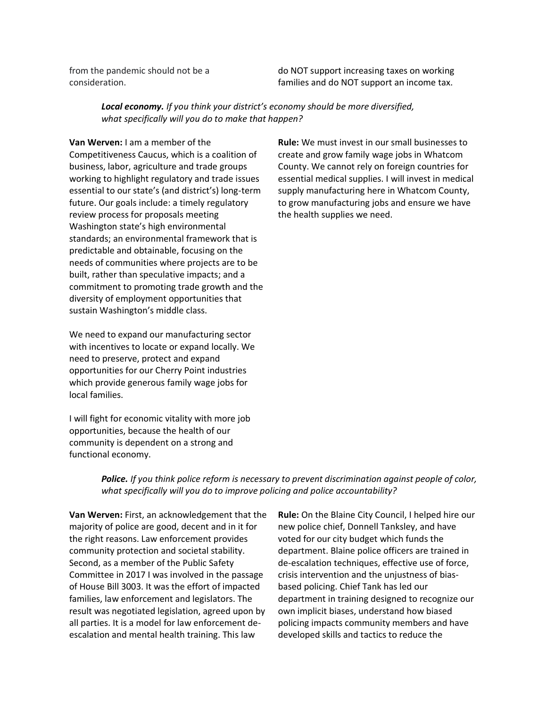from the pandemic should not be a consideration.

do NOT support increasing taxes on working families and do NOT support an income tax.

*Local economy. If you think your district's economy should be more diversified, what specifically will you do to make that happen?*

**Van Werven:** I am a member of the Competitiveness Caucus, which is a coalition of business, labor, agriculture and trade groups working to highlight regulatory and trade issues essential to our state's (and district's) long-term future. Our goals include: a timely regulatory review process for proposals meeting Washington state's high environmental standards; an environmental framework that is predictable and obtainable, focusing on the needs of communities where projects are to be built, rather than speculative impacts; and a commitment to promoting trade growth and the diversity of employment opportunities that sustain Washington's middle class.

We need to expand our manufacturing sector with incentives to locate or expand locally. We need to preserve, protect and expand opportunities for our Cherry Point industries which provide generous family wage jobs for local families.

I will fight for economic vitality with more job opportunities, because the health of our community is dependent on a strong and functional economy.

**Rule:** We must invest in our small businesses to create and grow family wage jobs in Whatcom County. We cannot rely on foreign countries for essential medical supplies. I will invest in medical supply manufacturing here in Whatcom County, to grow manufacturing jobs and ensure we have the health supplies we need.

*Police. If you think police reform is necessary to prevent discrimination against people of color, what specifically will you do to improve policing and police accountability?*

**Van Werven:** First, an acknowledgement that the majority of police are good, decent and in it for the right reasons. Law enforcement provides community protection and societal stability. Second, as a member of the Public Safety Committee in 2017 I was involved in the passage of House Bill 3003. It was the effort of impacted families, law enforcement and legislators. The result was negotiated legislation, agreed upon by all parties. It is a model for law enforcement deescalation and mental health training. This law

**Rule:** On the Blaine City Council, I helped hire our new police chief, Donnell Tanksley, and have voted for our city budget which funds the department. Blaine police officers are trained in de-escalation techniques, effective use of force, crisis intervention and the unjustness of biasbased policing. Chief Tank has led our department in training designed to recognize our own implicit biases, understand how biased policing impacts community members and have developed skills and tactics to reduce the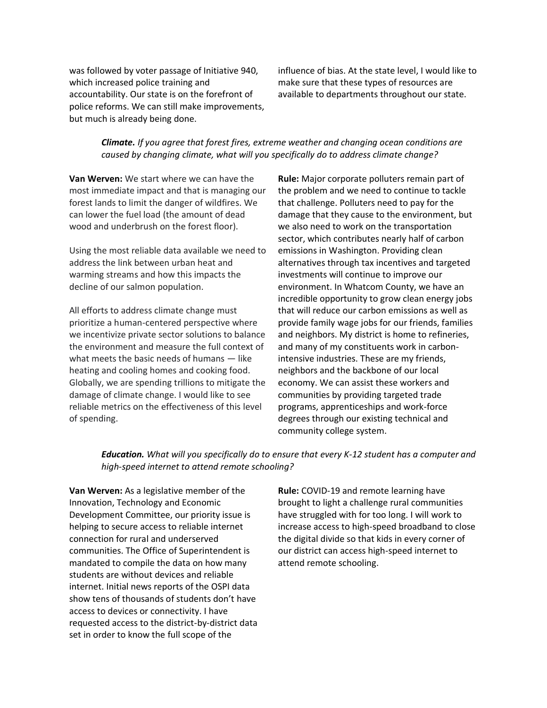was followed by voter passage of Initiative 940, which increased police training and accountability. Our state is on the forefront of police reforms. We can still make improvements, but much is already being done.

influence of bias. At the state level, I would like to make sure that these types of resources are available to departments throughout our state.

## *Climate. If you agree that forest fires, extreme weather and changing ocean conditions are caused by changing climate, what will you specifically do to address climate change?*

**Van Werven:** We start where we can have the most immediate impact and that is managing our forest lands to limit the danger of wildfires. We can lower the fuel load (the amount of dead wood and underbrush on the forest floor).

Using the most reliable data available we need to address the link between urban heat and warming streams and how this impacts the decline of our salmon population.

All efforts to address climate change must prioritize a human-centered perspective where we incentivize private sector solutions to balance the environment and measure the full context of what meets the basic needs of humans — like heating and cooling homes and cooking food. Globally, we are spending trillions to mitigate the damage of climate change. I would like to see reliable metrics on the effectiveness of this level of spending.

**Rule:** Major corporate polluters remain part of the problem and we need to continue to tackle that challenge. Polluters need to pay for the damage that they cause to the environment, but we also need to work on the transportation sector, which contributes nearly half of carbon emissions in Washington. Providing clean alternatives through tax incentives and targeted investments will continue to improve our environment. In Whatcom County, we have an incredible opportunity to grow clean energy jobs that will reduce our carbon emissions as well as provide family wage jobs for our friends, families and neighbors. My district is home to refineries, and many of my constituents work in carbonintensive industries. These are my friends, neighbors and the backbone of our local economy. We can assist these workers and communities by providing targeted trade programs, apprenticeships and work-force degrees through our existing technical and community college system.

*Education. What will you specifically do to ensure that every K-12 student has a computer and high-speed internet to attend remote schooling?*

**Van Werven:** As a legislative member of the Innovation, Technology and Economic Development Committee, our priority issue is helping to secure access to reliable internet connection for rural and underserved communities. The Office of Superintendent is mandated to compile the data on how many students are without devices and reliable internet. Initial news reports of the OSPI data show tens of thousands of students don't have access to devices or connectivity. I have requested access to the district-by-district data set in order to know the full scope of the

**Rule:** COVID-19 and remote learning have brought to light a challenge rural communities have struggled with for too long. I will work to increase access to high-speed broadband to close the digital divide so that kids in every corner of our district can access high-speed internet to attend remote schooling.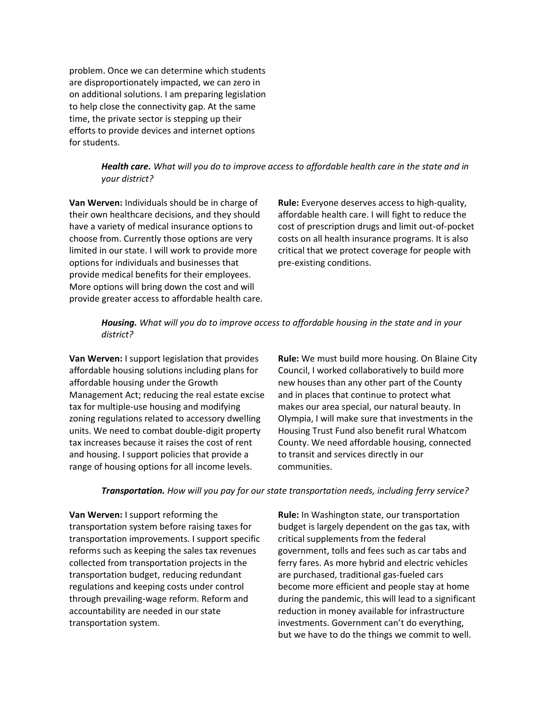problem. Once we can determine which students are disproportionately impacted, we can zero in on additional solutions. I am preparing legislation to help close the connectivity gap. At the same time, the private sector is stepping up their efforts to provide devices and internet options for students.

## *Health care. What will you do to improve access to affordable health care in the state and in your district?*

**Van Werven:** Individuals should be in charge of their own healthcare decisions, and they should have a variety of medical insurance options to choose from. Currently those options are very limited in our state. I will work to provide more options for individuals and businesses that provide medical benefits for their employees. More options will bring down the cost and will provide greater access to affordable health care.

**Rule:** Everyone deserves access to high-quality, affordable health care. I will fight to reduce the cost of prescription drugs and limit out-of-pocket costs on all health insurance programs. It is also critical that we protect coverage for people with pre-existing conditions.

## *Housing. What will you do to improve access to affordable housing in the state and in your district?*

**Van Werven:** I support legislation that provides affordable housing solutions including plans for affordable housing under the Growth Management Act; reducing the real estate excise tax for multiple-use housing and modifying zoning regulations related to accessory dwelling units. We need to combat double-digit property tax increases because it raises the cost of rent and housing. I support policies that provide a range of housing options for all income levels.

**Rule:** We must build more housing. On Blaine City Council, I worked collaboratively to build more new houses than any other part of the County and in places that continue to protect what makes our area special, our natural beauty. In Olympia, I will make sure that investments in the Housing Trust Fund also benefit rural Whatcom County. We need affordable housing, connected to transit and services directly in our communities.

#### *Transportation. How will you pay for our state transportation needs, including ferry service?*

**Van Werven:** I support reforming the transportation system before raising taxes for transportation improvements. I support specific reforms such as keeping the sales tax revenues collected from transportation projects in the transportation budget, reducing redundant regulations and keeping costs under control through prevailing-wage reform. Reform and accountability are needed in our state transportation system.

**Rule:** In Washington state, our transportation budget is largely dependent on the gas tax, with critical supplements from the federal government, tolls and fees such as car tabs and ferry fares. As more hybrid and electric vehicles are purchased, traditional gas-fueled cars become more efficient and people stay at home during the pandemic, this will lead to a significant reduction in money available for infrastructure investments. Government can't do everything, but we have to do the things we commit to well.